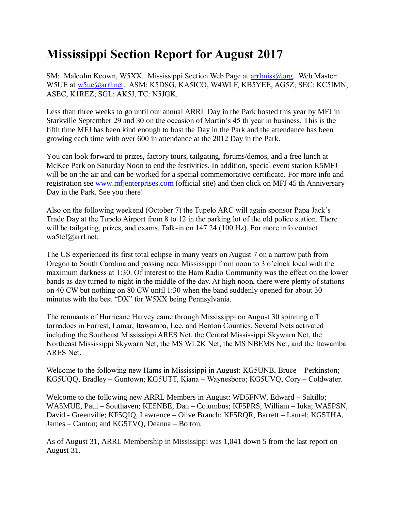## **Mississippi Section Report for August 2017**

SM: Malcolm Keown, W5XX. Mississippi Section Web Page at [arrlmiss@org.](mailto:arrlmiss@org) Web Master: W5UE at [w5ue@arrl.net.](mailto:w5ue@arrl.net) ASM: K5DSG, KA5ICO, W4WLF, KB5YEE, AG5Z; SEC: KC5IMN, ASEC, K1REZ; SGL: AK5J, TC: N5JGK.

Less than three weeks to go until our annual ARRL Day in the Park hosted this year by MFJ in Starkville September 29 and 30 on the occasion of Martin's 45 th year in business. This is the fifth time MFJ has been kind enough to host the Day in the Park and the attendance has been growing each time with over 600 in attendance at the 2012 Day in the Park.

You can look forward to prizes, factory tours, tailgating, forums/demos, and a free lunch at McKee Park on Saturday Noon to end the festivities. In addition, special event station K5MFJ will be on the air and can be worked for a special commemorative certificate. For more info and registration see [www.mfjenterprises.com](http://www.mfjenterprises.com/) (official site) and then click on MFJ 45 th Anniversary Day in the Park. See you there!

Also on the following weekend (October 7) the Tupelo ARC will again sponsor Papa Jack's Trade Day at the Tupelo Airport from 8 to 12 in the parking lot of the old police station. There will be tailgating, prizes, and exams. Talk-in on 147.24 (100 Hz). For more info contact wa5tef@arrl.net.

The US experienced its first total eclipse in many years on August 7 on a narrow path from Oregon to South Carolina and passing near Mississippi from noon to 3 o'clock local with the maximum darkness at 1:30. Of interest to the Ham Radio Community was the effect on the lower bands as day turned to night in the middle of the day. At high noon, there were plenty of stations on 40 CW but nothing on 80 CW until 1:30 when the band suddenly opened for about 30 minutes with the best "DX" for W5XX being Pennsylvania.

The remnants of Hurricane Harvey came through Mississippi on August 30 spinning off tornadoes in Forrest, Lamar, Itawamba, Lee, and Benton Counties. Several Nets activated including the Southeast Mississippi ARES Net, the Central Mississippi Skywarn Net, the Northeast Mississippi Skywarn Net, the MS WL2K Net, the MS NBEMS Net, and the Itawamba ARES Net.

Welcome to the following new Hams in Mississippi in August: KG5UNB, Bruce – Perkinston; KG5UQQ, Bradley – Guntown; KG5UTT, Kiana – Waynesboro; KG5UVQ, Cory – Coldwater.

Welcome to the following new ARRL Members in August: WD5FNW, Edward – Saltillo; WA5MUE, Paul – Southaven; KE5NBE, Dan – Columbus; KF5PRS, William – Iuka; WA5PSN, David - Greenville; KF5QIQ, Lawrence – Olive Branch; KF5RQR, Barrett – Laurel; KG5THA, James – Canton; and KG5TVQ, Deanna – Bolton.

As of August 31, ARRL Membership in Mississippi was 1,041 down 5 from the last report on August 31.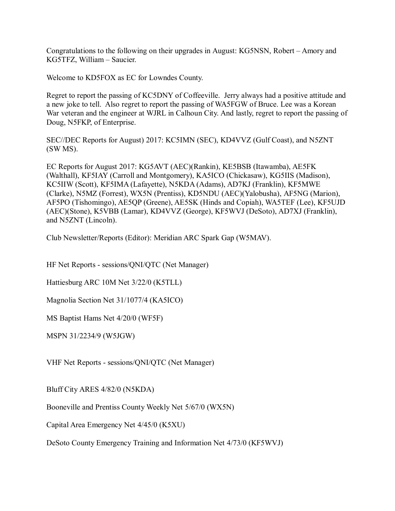Congratulations to the following on their upgrades in August: KG5NSN, Robert – Amory and KG5TFZ, William – Saucier.

Welcome to KD5FOX as EC for Lowndes County.

Regret to report the passing of KC5DNY of Coffeeville. Jerry always had a positive attitude and a new joke to tell. Also regret to report the passing of WA5FGW of Bruce. Lee was a Korean War veteran and the engineer at WJRL in Calhoun City. And lastly, regret to report the passing of Doug, N5FKP, of Enterprise.

SEC//DEC Reports for August) 2017: KC5IMN (SEC), KD4VVZ (Gulf Coast), and N5ZNT (SW MS).

EC Reports for August 2017: KG5AVT (AEC)(Rankin), KE5BSB (Itawamba), AE5FK (Walthall), KF5IAY (Carroll and Montgomery), KA5ICO (Chickasaw), KG5IIS (Madison), KC5IIW (Scott), KF5IMA (Lafayette), N5KDA (Adams), AD7KJ (Franklin), KF5MWE (Clarke), N5MZ (Forrest), WX5N (Prentiss), KD5NDU (AEC)(Yalobusha), AF5NG (Marion), AF5PO (Tishomingo), AE5QP (Greene), AE5SK (Hinds and Copiah), WA5TEF (Lee), KF5UJD (AEC)(Stone), K5VBB (Lamar), KD4VVZ (George), KF5WVJ (DeSoto), AD7XJ (Franklin), and N5ZNT (Lincoln).

Club Newsletter/Reports (Editor): Meridian ARC Spark Gap (W5MAV).

HF Net Reports - sessions/QNI/QTC (Net Manager)

Hattiesburg ARC 10M Net 3/22/0 (K5TLL)

Magnolia Section Net 31/1077/4 (KA5ICO)

MS Baptist Hams Net 4/20/0 (WF5F)

MSPN 31/2234/9 (W5JGW)

VHF Net Reports - sessions/QNI/QTC (Net Manager)

Bluff City ARES 4/82/0 (N5KDA)

Booneville and Prentiss County Weekly Net 5/67/0 (WX5N)

Capital Area Emergency Net 4/45/0 (K5XU)

DeSoto County Emergency Training and Information Net 4/73/0 (KF5WVJ)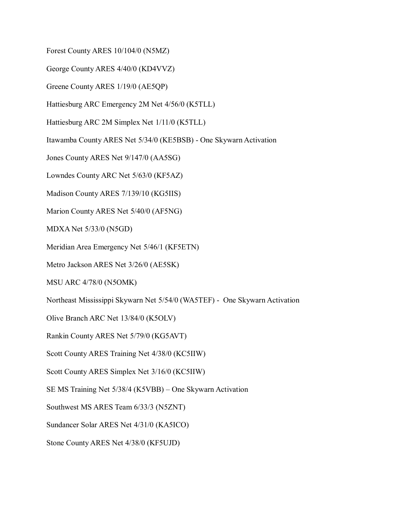Forest County ARES 10/104/0 (N5MZ)

George County ARES 4/40/0 (KD4VVZ)

Greene County ARES 1/19/0 (AE5QP)

Hattiesburg ARC Emergency 2M Net 4/56/0 (K5TLL)

Hattiesburg ARC 2M Simplex Net 1/11/0 (K5TLL)

Itawamba County ARES Net 5/34/0 (KE5BSB) - One Skywarn Activation

Jones County ARES Net 9/147/0 (AA5SG)

Lowndes County ARC Net 5/63/0 (KF5AZ)

Madison County ARES 7/139/10 (KG5IIS)

Marion County ARES Net 5/40/0 (AF5NG)

MDXA Net 5/33/0 (N5GD)

Meridian Area Emergency Net 5/46/1 (KF5ETN)

Metro Jackson ARES Net 3/26/0 (AE5SK)

MSU ARC 4/78/0 (N5OMK)

Northeast Mississippi Skywarn Net 5/54/0 (WA5TEF) - One Skywarn Activation

Olive Branch ARC Net 13/84/0 (K5OLV)

Rankin County ARES Net 5/79/0 (KG5AVT)

Scott County ARES Training Net 4/38/0 (KC5IIW)

Scott County ARES Simplex Net 3/16/0 (KC5IIW)

SE MS Training Net 5/38/4 (K5VBB) – One Skywarn Activation

Southwest MS ARES Team 6/33/3 (N5ZNT)

Sundancer Solar ARES Net 4/31/0 (KA5ICO)

Stone County ARES Net 4/38/0 (KF5UJD)